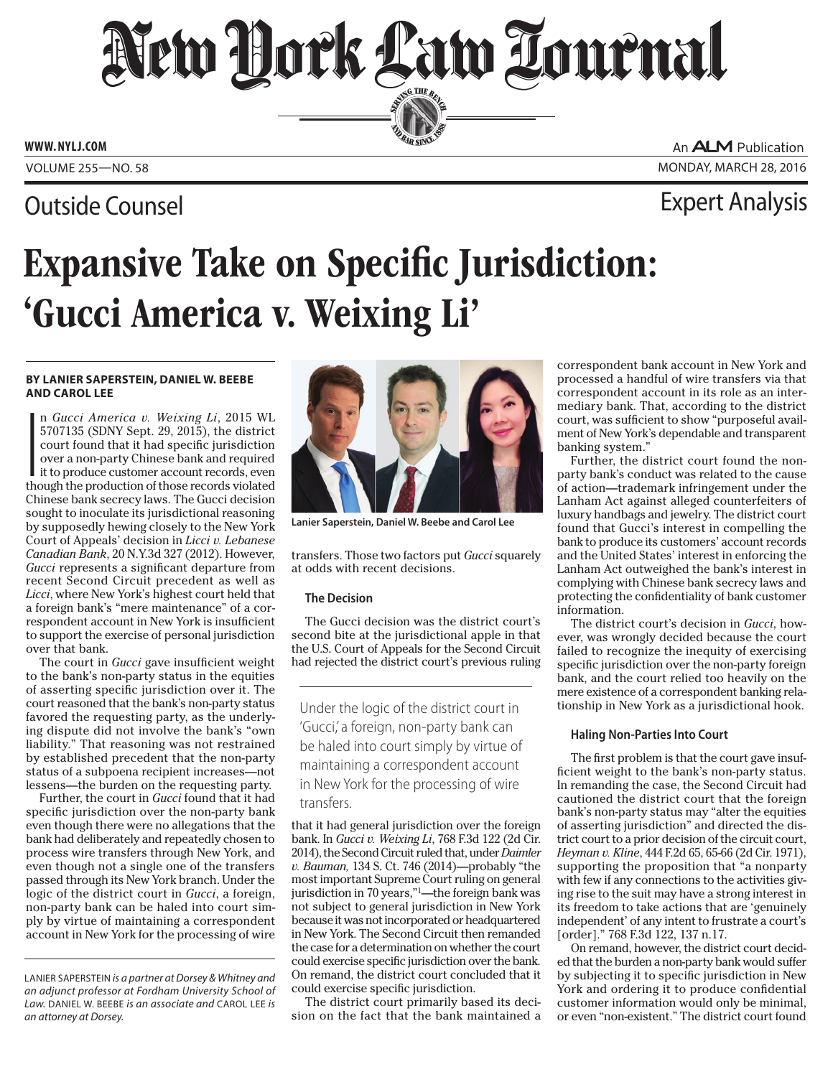# New Dock Law Lournal SERVING THE BENCH

**ED BAR SINCE 188** 

**www. NYLJ.com**

### Outside Counsel Expert Analysis

An **ALM** Publication Volume 255—NO. 58 Monday, March 28, 2016

## Expansive Take on Specific Jurisdiction: 'Gucci America v. Weixing Li'

#### **By Lanier Saperstein, Daniel W. Beebe And Carol Lee**

**I**<br>Ithe n *Gucci America v. Weixing Li*, 2015 WL 5707135 (SDNY Sept. 29, 2015), the district court found that it had specific jurisdiction over a non-party Chinese bank and required it to produce customer account records, even though the production of those records violated Chinese bank secrecy laws. The Gucci decision sought to inoculate its jurisdictional reasoning by supposedly hewing closely to the New York Court of Appeals' decision in *[Licci v. Lebanese](Cite: 20 N.Y.3d 327) [Canadian Bank](Cite: 20 N.Y.3d 327)*, 20 N.Y.3d 327 (2012). However, *Gucci* represents a significant departure from recent Second Circuit precedent as well as *Licci*, where New York's highest court held that a foreign bank's "mere maintenance" of a correspondent account in New York is insufficient to support the exercise of personal jurisdiction over that bank.

The court in *Gucci* gave insufficient weight to the bank's non-party status in the equities of asserting specific jurisdiction over it. The court reasoned that the bank's non-party status favored the requesting party, as the underlying dispute did not involve the bank's "own liability." That reasoning was not restrained by established precedent that the non-party status of a subpoena recipient increases—not lessens—the burden on the requesting party.

Further, the court in *Gucci* found that it had specific jurisdiction over the non-party bank even though there were no allegations that the bank had deliberately and repeatedly chosen to process wire transfers through New York, and even though not a single one of the transfers passed through its New York branch. Under the logic of the district court in *Gucci*, a foreign, non-party bank can be haled into court simply by virtue of maintaining a correspondent account in New York for the processing of wire



**Lanier Saperstein, Daniel W. Beebe and Carol Lee**

transfers. Those two factors put *Gucci* squarely at odds with recent decisions.

### **The Decision**

The Gucci decision was the district court's second bite at the jurisdictional apple in that the U.S. Court of Appeals for the Second Circuit had rejected the district court's previous ruling

Under the logic of the district court in 'Gucci,' a foreign, non-party bank can be haled into court simply by virtue of maintaining a correspondent account in New York for the processing of wire transfers.

that it had general jurisdiction over the foreign bank. In *[Gucci v. Weixing Li](Cite:  768 F.3d 122)*, 768 F.3d 122 (2d Cir. 2014), the Second Circuit ruled that, under *Daimler v. Bauman,* 134 S. Ct. 746 (2014)—probably "the most important Supreme Court ruling on general jurisdiction in 70 years,"1 —the foreign bank was not subject to general jurisdiction in New York because it was not incorporated or headquartered in New York. The Second Circuit then remanded the case for a determination on whether the court could exercise specific jurisdiction over the bank. On remand, the district court concluded that it could exercise specific jurisdiction.

The district court primarily based its decision on the fact that the bank maintained a

correspondent bank account in New York and processed a handful of wire transfers via that correspondent account in its role as an intermediary bank. That, according to the district court, was sufficient to show "purposeful availment of New York's dependable and transparent banking system."

Further, the district court found the nonparty bank's conduct was related to the cause of action—trademark infringement under the Lanham Act against alleged counterfeiters of luxury handbags and jewelry. The district court found that Gucci's interest in compelling the bank to produce its customers' account records and the United States' interest in enforcing the Lanham Act outweighed the bank's interest in complying with Chinese bank secrecy laws and protecting the confidentiality of bank customer information.

The district court's decision in *Gucci*, however, was wrongly decided because the court failed to recognize the inequity of exercising specific jurisdiction over the non-party foreign bank, and the court relied too heavily on the mere existence of a correspondent banking relationship in New York as a jurisdictional hook.

#### **Haling Non-Parties Into Court**

The first problem is that the court gave insufficient weight to the bank's non-party status. In remanding the case, the Second Circuit had cautioned the district court that the foreign bank's non-party status may "alter the equities of asserting jurisdiction" and directed the district court to a prior decision of the circuit court, *[Heyman v. Kline](Cite: 444 F.2d 65)*, 444 F.2d 65, 65-66 (2d Cir. 1971), supporting the proposition that "a nonparty with few if any connections to the activities giving rise to the suit may have a strong interest in its freedom to take actions that are 'genuinely independent' of any intent to frustrate a court's [order]." 768 F.3d 122, 137 n.17.

On remand, however, the district court decided that the burden a non-party bank would suffer by subjecting it to specific jurisdiction in New York and ordering it to produce confidential customer information would only be minimal, or even "non-existent." The district court found

Lanier Saperstein *is a partner at Dorsey & Whitney and an adjunct professor at Fordham University School of Law.* Daniel W. Beebe *is an associate and* Carol Lee *is an attorney at Dorsey.*